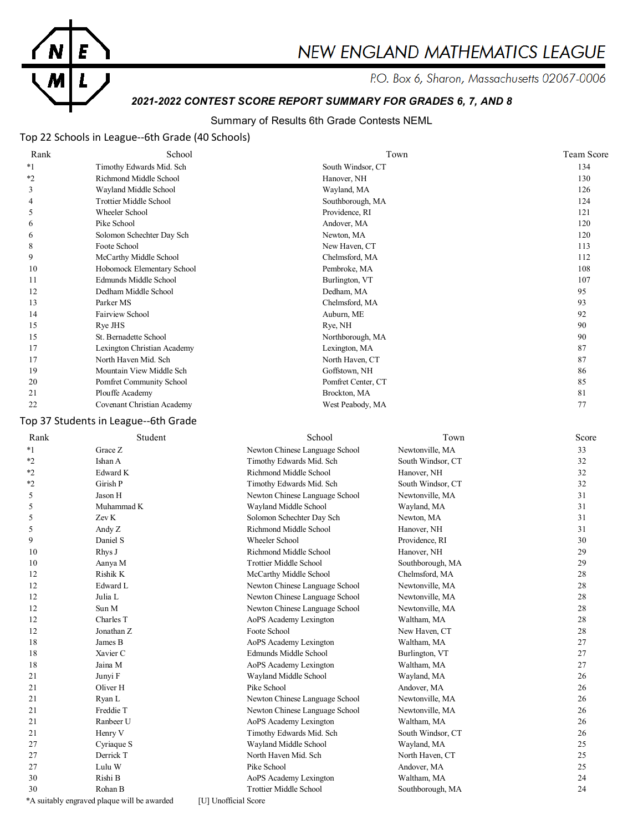

# **NEW ENGLAND MATHEMATICS LEAGUE**

P.O. Box 6, Sharon, Massachusetts 02067-0006

# *2021-2022 CONTEST SCORE REPORT SUMMARY FOR GRADES 6, 7, AND 8*

# Summary of Results 6th Grade Contests NEML

# Top 22 Schools in League--6th Grade (40 Schools)

| Rank    | School                        | Town               | <b>Team Score</b> |
|---------|-------------------------------|--------------------|-------------------|
| $*1$    | Timothy Edwards Mid. Sch      | South Windsor, CT  | 134               |
| $*_{2}$ | Richmond Middle School        | Hanover, NH        | 130               |
| 3       | Wayland Middle School         | Wayland, MA        | 126               |
| 4       | <b>Trottier Middle School</b> | Southborough, MA   | 124               |
| 5       | Wheeler School                | Providence, RI     | 121               |
| 6       | Pike School                   | Andover, MA        | 120               |
| 6       | Solomon Schechter Day Sch     | Newton, MA         | 120               |
| 8       | Foote School                  | New Haven, CT      | 113               |
| 9       | McCarthy Middle School        | Chelmsford, MA     | 112               |
| 10      | Hobomock Elementary School    | Pembroke, MA       | 108               |
| 11      | Edmunds Middle School         | Burlington, VT     | 107               |
| 12      | Dedham Middle School          | Dedham, MA         | 95                |
| 13      | Parker MS                     | Chelmsford, MA     | 93                |
| 14      | Fairview School               | Auburn, ME         | 92                |
| 15      | Rye JHS                       | Rye, NH            | 90                |
| 15      | St. Bernadette School         | Northborough, MA   | 90                |
| 17      | Lexington Christian Academy   | Lexington, MA      | 87                |
| 17      | North Haven Mid. Sch          | North Haven, CT    | 87                |
| 19      | Mountain View Middle Sch      | Goffstown, NH      | 86                |
| 20      | Pomfret Community School      | Pomfret Center, CT | 85                |
| 21      | Plouffe Academy               | Brockton, MA       | 81                |
| 22      | Covenant Christian Academy    | West Peabody, MA   | 77                |

# Top 37 Students in League--6th Grade

| Rank    | Student                                     | School                         | Town              | Score |
|---------|---------------------------------------------|--------------------------------|-------------------|-------|
| $*_{1}$ | Grace Z                                     | Newton Chinese Language School | Newtonville, MA   | 33    |
| $*_{2}$ | Ishan A                                     | Timothy Edwards Mid. Sch       | South Windsor, CT | 32    |
| $*_{2}$ | Edward K                                    | Richmond Middle School         | Hanover, NH       | 32    |
| $*2$    | Girish P                                    | Timothy Edwards Mid. Sch       | South Windsor, CT | 32    |
| 5       | Jason H                                     | Newton Chinese Language School | Newtonville, MA   | 31    |
| 5       | Muhammad K                                  | Wayland Middle School          | Wayland, MA       | 31    |
| 5       | Zev K                                       | Solomon Schechter Day Sch      | Newton, MA        | 31    |
| 5       | Andy Z                                      | Richmond Middle School         | Hanover, NH       | 31    |
| 9       | Daniel S                                    | Wheeler School                 | Providence, RI    | 30    |
| 10      | Rhys J                                      | Richmond Middle School         | Hanover, NH       | 29    |
| 10      | Aanya M                                     | <b>Trottier Middle School</b>  | Southborough, MA  | 29    |
| 12      | Rishik K                                    | McCarthy Middle School         | Chelmsford, MA    | 28    |
| 12      | Edward L                                    | Newton Chinese Language School | Newtonville, MA   | 28    |
| 12      | Julia L                                     | Newton Chinese Language School | Newtonville, MA   | 28    |
| 12      | Sun M                                       | Newton Chinese Language School | Newtonville, MA   | 28    |
| 12      | Charles T                                   | AoPS Academy Lexington         | Waltham, MA       | 28    |
| 12      | Jonathan Z                                  | Foote School                   | New Haven, CT     | 28    |
| 18      | James B                                     | AoPS Academy Lexington         | Waltham, MA       | 27    |
| 18      | Xavier C                                    | Edmunds Middle School          | Burlington, VT    | 27    |
| 18      | Jaina M                                     | AoPS Academy Lexington         | Waltham, MA       | 27    |
| 21      | Junyi F                                     | Wayland Middle School          | Wayland, MA       | 26    |
| 21      | Oliver <sub>H</sub>                         | Pike School                    | Andover, MA       | 26    |
| 21      | Ryan L                                      | Newton Chinese Language School | Newtonville, MA   | 26    |
| 21      | Freddie T                                   | Newton Chinese Language School | Newtonville, MA   | 26    |
| 21      | Ranbeer U                                   | AoPS Academy Lexington         | Waltham, MA       | 26    |
| 21      | Henry V                                     | Timothy Edwards Mid. Sch       | South Windsor, CT | 26    |
| 27      | Cyriaque S                                  | Wayland Middle School          | Wayland, MA       | 25    |
| 27      | Derrick T                                   | North Haven Mid. Sch           | North Haven, CT   | 25    |
| 27      | Lulu W                                      | Pike School                    | Andover, MA       | 25    |
| 30      | Rishi B                                     | AoPS Academy Lexington         | Waltham, MA       | 24    |
| 30      | Rohan B                                     | <b>Trottier Middle School</b>  | Southborough, MA  | 24    |
|         | *A suitably engraved plaque will be awarded | [U] Unofficial Score           |                   |       |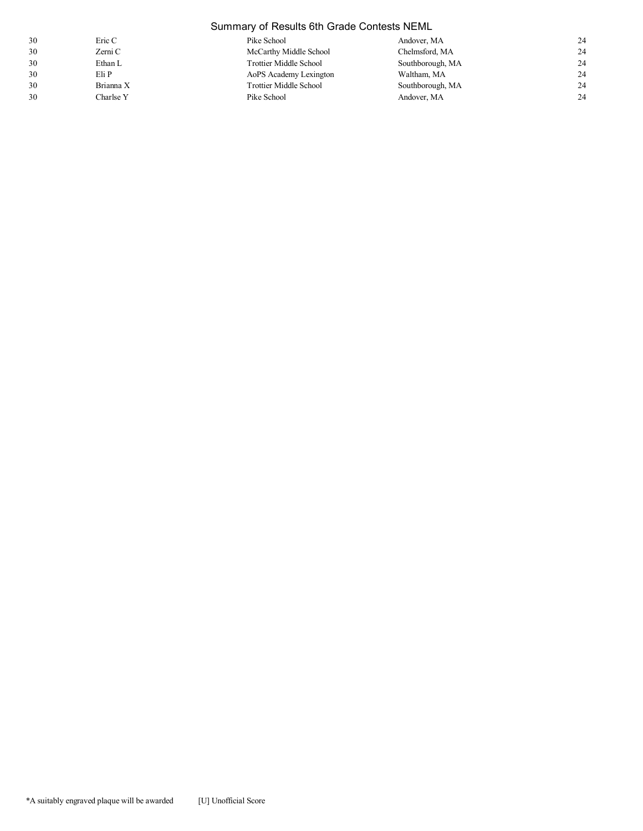|    | Summary of Results 6th Grade Contests NEML |                               |                  |    |
|----|--------------------------------------------|-------------------------------|------------------|----|
| 30 | Eric C                                     | Pike School                   | Andover, MA      | 24 |
| 30 | Zerni C                                    | McCarthy Middle School        | Chelmsford, MA   | 24 |
| 30 | Ethan L                                    | <b>Trottier Middle School</b> | Southborough, MA | 24 |
| 30 | Eli P                                      | AoPS Academy Lexington        | Waltham, MA      | 24 |
| 30 | Brianna X                                  | <b>Trottier Middle School</b> | Southborough, MA | 24 |
| 30 | Charlse Y                                  | Pike School                   | Andover, MA      | 24 |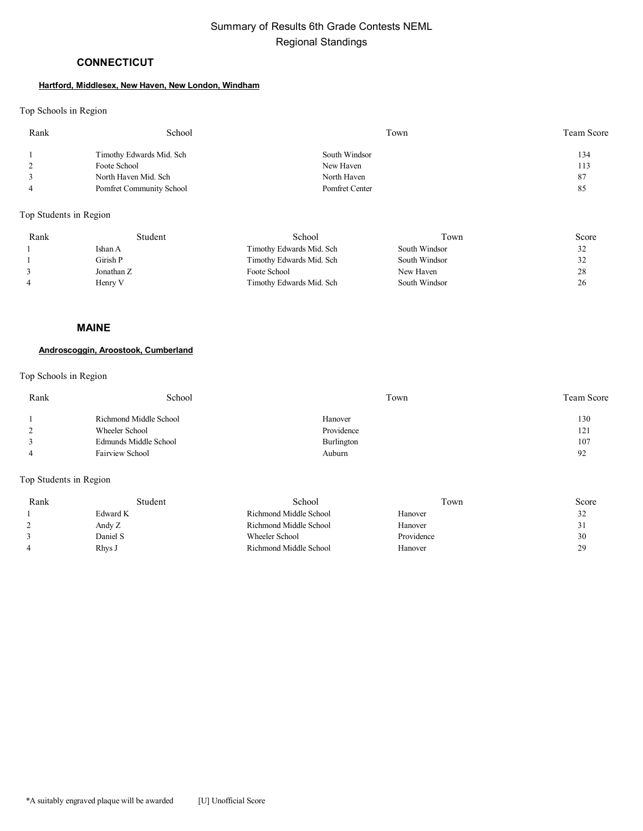# **CONNECTICUT**

# **Hartford, Middlesex, New Haven, New London, Windham**

## Top Schools in Region

| Rank | School                   | Town           | Team Score |
|------|--------------------------|----------------|------------|
|      | Timothy Edwards Mid. Sch | South Windsor  | 134        |
|      | Foote School             | New Haven      | 113        |
|      | North Haven Mid. Sch     | North Haven    | 87         |
|      | Pomfret Community School | Pomfret Center | 85         |

Top Students in Region

| Rank | Student    | School                   | Town          | Score |
|------|------------|--------------------------|---------------|-------|
|      | Ishan A    | Timothy Edwards Mid. Sch | South Windsor | 32    |
|      | Girish P   | Timothy Edwards Mid. Sch | South Windsor | 32    |
|      | Jonathan Z | Foote School             | New Haven     | 28    |
|      | Henry V    | Timothy Edwards Mid. Sch | South Windsor | 26    |

#### **MAINE**

### **Androscoggin, Aroostook, Cumberland**

### Top Schools in Region

| Rank | School                 | Town       | <b>Team Score</b> |
|------|------------------------|------------|-------------------|
|      | Richmond Middle School | Hanover    | 130               |
|      | Wheeler School         | Providence | 121               |
|      | Edmunds Middle School  | Burlington | 107               |
|      | Fairview School        | Auburn     | 92                |
|      |                        |            |                   |

| Rank | Student  | School                 | l own      | Score |
|------|----------|------------------------|------------|-------|
|      | Edward K | Richmond Middle School | Hanover    | 32    |
|      | Andy Z   | Richmond Middle School | Hanover    | 31    |
|      | Daniel S | Wheeler School         | Providence | 30    |
|      | Rhvs J   | Richmond Middle School | Hanover    | 29    |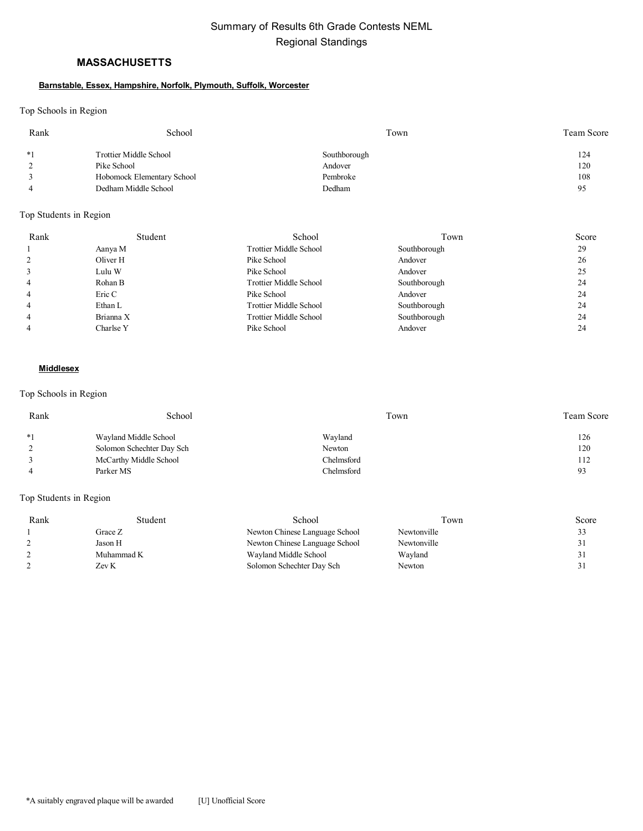# **MASSACHUSETTS**

#### **Barnstable, Essex, Hampshire, Norfolk, Plymouth, Suffolk, Worcester**

Top Schools in Region

| Rank | School                     | Town         | Team Score |
|------|----------------------------|--------------|------------|
| $*1$ | Trottier Middle School     | Southborough | 124        |
|      | Pike School                | Andover      | 120        |
|      | Hobomock Elementary School | Pembroke     | 108        |
|      | Dedham Middle School       | Dedham       | 95         |

### Top Students in Region

| Rank | Student   | School                        | Town         | Score |
|------|-----------|-------------------------------|--------------|-------|
|      | Aanya M   | Trottier Middle School        | Southborough | 29    |
|      | Oliver H  | Pike School                   | Andover      | 26    |
|      | Lulu W    | Pike School                   | Andover      | 25    |
| 4    | Rohan B   | <b>Trottier Middle School</b> | Southborough | 24    |
| 4    | Eric C    | Pike School                   | Andover      | 24    |
|      | Ethan L   | <b>Trottier Middle School</b> | Southborough | 24    |
|      | Brianna X | <b>Trottier Middle School</b> | Southborough | 24    |
|      | Charlse Y | Pike School                   | Andover      | 24    |

#### **Middlesex**

### Top Schools in Region

| Rank | School                    | Town       | <b>Team Score</b> |
|------|---------------------------|------------|-------------------|
| $*1$ | Wayland Middle School     | Wayland    | 126               |
|      | Solomon Schechter Day Sch | Newton     | 120               |
|      | McCarthy Middle School    | Chelmsford | 112               |
|      | Parker MS                 | Chelmsford | 93                |

| Rank | Student    | School                         | Town        | Score |
|------|------------|--------------------------------|-------------|-------|
|      | Grace Z    | Newton Chinese Language School | Newtonville | 33    |
|      | Jason H    | Newton Chinese Language School | Newtonville | 31    |
|      | Muhammad K | Wayland Middle School          | Wayland     |       |
|      | Zev K      | Solomon Schechter Day Sch      | Newton      |       |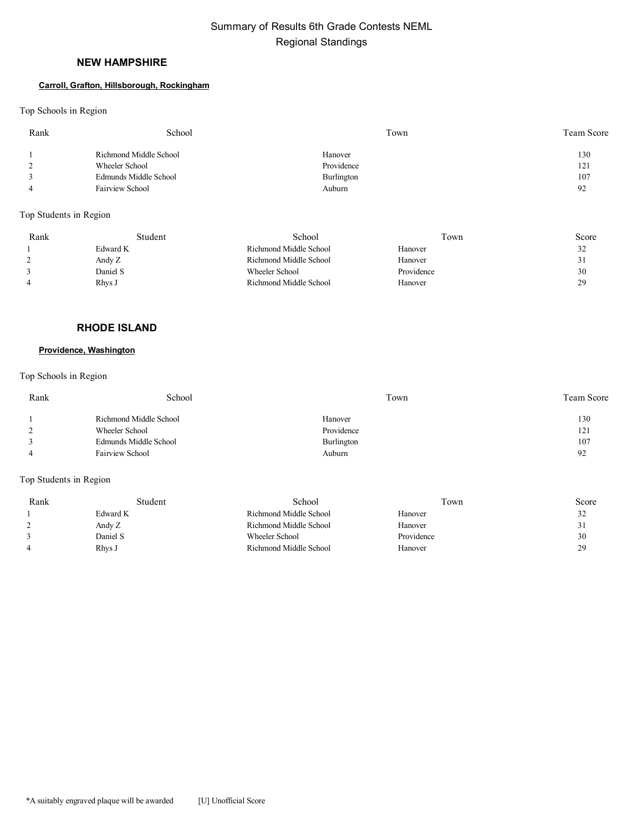# **NEW HAMPSHIRE**

#### **Carroll, Grafton, Hillsborough, Rockingham**

Top Schools in Region

| Rank | School                 | Town       | Team Score |
|------|------------------------|------------|------------|
|      | Richmond Middle School | Hanover    | 130        |
| ∸    | Wheeler School         | Providence | 121        |
|      | Edmunds Middle School  | Burlington | 107        |
|      | Fairview School        | Auburn     | 92         |
|      |                        |            |            |

Top Students in Region

| Rank | Student  | School                 | Town       | Score     |
|------|----------|------------------------|------------|-----------|
|      | Edward K | Richmond Middle School | Hanover    | 32        |
|      | Andy Z   | Richmond Middle School | Hanover    | 31<br>ر ر |
|      | Daniel S | Wheeler School         | Providence | 30        |
|      | Rhys J   | Richmond Middle School | Hanover    | 29        |

# **RHODE ISLAND**

# **Providence, Washington**

Top Schools in Region

| Rank | School                 | Town       | <b>Team Score</b> |
|------|------------------------|------------|-------------------|
|      | Richmond Middle School | Hanover    | 130               |
|      | Wheeler School         | Providence | 121               |
|      | Edmunds Middle School  | Burlington | 107               |
|      | <b>Fairview School</b> | Auburn     | 92                |
|      |                        |            |                   |

| Rank | Student  | School                 | l own      | Score |
|------|----------|------------------------|------------|-------|
|      | Edward K | Richmond Middle School | Hanover    | 32    |
|      | Andy Z   | Richmond Middle School | Hanover    | 31    |
|      | Daniel S | Wheeler School         | Providence | 30    |
|      | Rhvs J   | Richmond Middle School | Hanover    | 29    |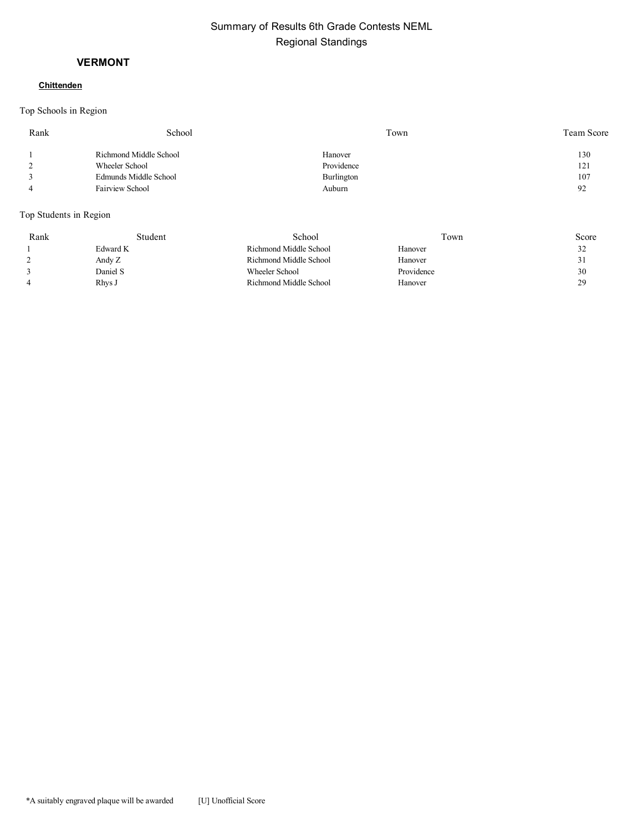# **VERMONT**

# **Chittenden**

Top Schools in Region

| Rank | School                 | Town       | Team Score |
|------|------------------------|------------|------------|
|      | Richmond Middle School | Hanover    | 130        |
|      | Wheeler School         | Providence | 121        |
|      | Edmunds Middle School  | Burlington | 107        |
|      | Fairview School        | Auburn     | 92         |
|      |                        |            |            |

| Rank | Student  | School                 | Town       | Score |
|------|----------|------------------------|------------|-------|
|      | Edward K | Richmond Middle School | Hanover    | 32    |
|      | Andy Z   | Richmond Middle School | Hanover    | 51    |
|      | Daniel S | Wheeler School         | Providence | 30    |
|      | Rhys J   | Richmond Middle School | Hanover    | 29    |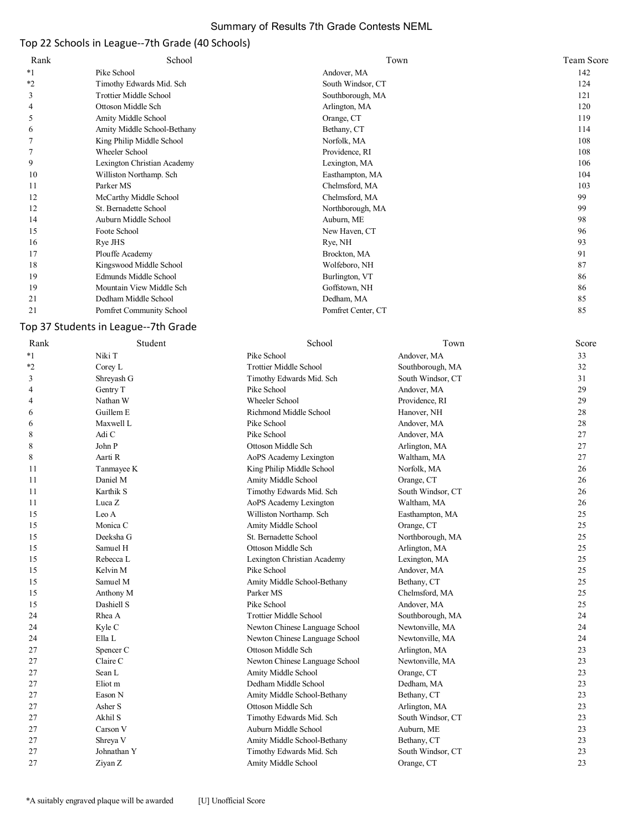# Summary of Results 7th Grade Contests NEML

# Top 22 Schools in League--7th Grade (40 Schools)

| Rank    | School                        | Town               | <b>Team Score</b> |
|---------|-------------------------------|--------------------|-------------------|
| $*1$    | Pike School                   | Andover, MA        | 142               |
| $*_{2}$ | Timothy Edwards Mid. Sch      | South Windsor, CT  | 124               |
| 3       | <b>Trottier Middle School</b> | Southborough, MA   | 121               |
| 4       | Ottoson Middle Sch            | Arlington, MA      | 120               |
| 5       | Amity Middle School           | Orange, CT         | 119               |
| 6       | Amity Middle School-Bethany   | Bethany, CT        | 114               |
|         | King Philip Middle School     | Norfolk, MA        | 108               |
|         | Wheeler School                | Providence, RI     | 108               |
| 9       | Lexington Christian Academy   | Lexington, MA      | 106               |
| 10      | Williston Northamp. Sch       | Easthampton, MA    | 104               |
| 11      | Parker MS                     | Chelmsford, MA     | 103               |
| 12      | McCarthy Middle School        | Chelmsford, MA     | 99                |
| 12      | St. Bernadette School         | Northborough, MA   | 99                |
| 14      | Auburn Middle School          | Auburn, ME         | 98                |
| 15      | Foote School                  | New Haven, CT      | 96                |
| 16      | Rye JHS                       | Rye, NH            | 93                |
| 17      | Plouffe Academy               | Brockton, MA       | 91                |
| 18      | Kingswood Middle School       | Wolfeboro, NH      | 87                |
| 19      | Edmunds Middle School         | Burlington, VT     | 86                |
| 19      | Mountain View Middle Sch      | Goffstown, NH      | 86                |
| 21      | Dedham Middle School          | Dedham, MA         | 85                |
| 21      | Pomfret Community School      | Pomfret Center, CT | 85                |

# Top 37 Students in League--7th Grade

| Rank    | Student            | School                         | Town              | Score |
|---------|--------------------|--------------------------------|-------------------|-------|
| $*_{1}$ | Niki T             | Pike School                    | Andover, MA       | 33    |
| $*2$    | Corey L            | <b>Trottier Middle School</b>  | Southborough, MA  | 32    |
| 3       | Shreyash G         | Timothy Edwards Mid. Sch       | South Windsor, CT | 31    |
| 4       | Gentry T           | Pike School                    | Andover, MA       | 29    |
| 4       | Nathan W           | Wheeler School                 | Providence, RI    | 29    |
| 6       | Guillem E          | Richmond Middle School         | Hanover, NH       | 28    |
| 6       | Maxwell L          | Pike School                    | Andover, MA       | 28    |
| 8       | Adi C              | Pike School                    | Andover, MA       | 27    |
| 8       | John P             | Ottoson Middle Sch             | Arlington, MA     | 27    |
| 8       | Aarti R            | AoPS Academy Lexington         | Waltham, MA       | 27    |
| 11      | Tanmayee K         | King Philip Middle School      | Norfolk, MA       | 26    |
| 11      | Daniel M           | Amity Middle School            | Orange, CT        | 26    |
| 11      | Karthik S          | Timothy Edwards Mid. Sch       | South Windsor, CT | 26    |
| 11      | Luca Z             | AoPS Academy Lexington         | Waltham, MA       | 26    |
| 15      | Leo A              | Williston Northamp. Sch        | Easthampton, MA   | 25    |
| 15      | Monica C           | Amity Middle School            | Orange, CT        | 25    |
| 15      | Deeksha G          | St. Bernadette School          | Northborough, MA  | 25    |
| 15      | Samuel H           | Ottoson Middle Sch             | Arlington, MA     | 25    |
| 15      | Rebecca L          | Lexington Christian Academy    | Lexington, MA     | 25    |
| 15      | Kelvin M           | Pike School                    | Andover, MA       | 25    |
| 15      | Samuel M           | Amity Middle School-Bethany    | Bethany, CT       | 25    |
| 15      | Anthony M          | Parker MS                      | Chelmsford, MA    | 25    |
| 15      | Dashiell S         | Pike School                    | Andover, MA       | 25    |
| 24      | Rhea A             | <b>Trottier Middle School</b>  | Southborough, MA  | 24    |
| 24      | Kyle C             | Newton Chinese Language School | Newtonville, MA   | 24    |
| 24      | $\rm Ella$ $\rm L$ | Newton Chinese Language School | Newtonville, MA   | 24    |
| 27      | Spencer C          | Ottoson Middle Sch             | Arlington, MA     | 23    |
| 27      | Claire C           | Newton Chinese Language School | Newtonville, MA   | 23    |
| 27      | Sean L             | Amity Middle School            | Orange, CT        | 23    |
| 27      | Eliot m            | Dedham Middle School           | Dedham, MA        | 23    |
| 27      | Eason N            | Amity Middle School-Bethany    | Bethany, CT       | 23    |
| 27      | Asher S            | Ottoson Middle Sch             | Arlington, MA     | 23    |
| 27      | Akhil S            | Timothy Edwards Mid. Sch       | South Windsor, CT | 23    |
| 27      | Carson V           | Auburn Middle School           | Auburn, ME        | 23    |
| 27      | Shreya V           | Amity Middle School-Bethany    | Bethany, CT       | 23    |
| 27      | Johnathan Y        | Timothy Edwards Mid. Sch       | South Windsor, CT | 23    |
| 27      | Ziyan Z            | Amity Middle School            | Orange, CT        | 23    |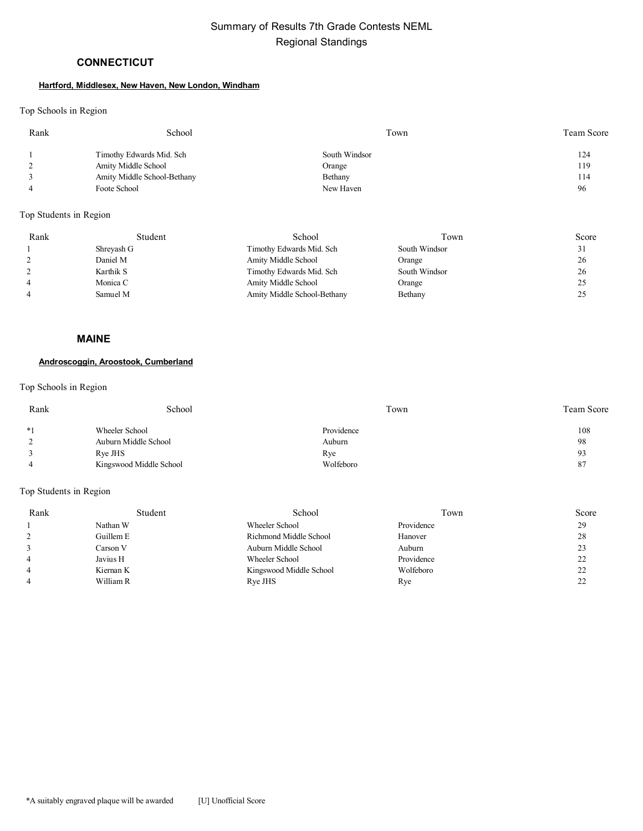# **CONNECTICUT**

#### **Hartford, Middlesex, New Haven, New London, Windham**

### Top Schools in Region

| Rank | School                      | Town          | Team Score |
|------|-----------------------------|---------------|------------|
|      | Timothy Edwards Mid. Sch    | South Windsor | 124        |
|      | Amity Middle School         | Orange        | 119        |
|      | Amity Middle School-Bethany | Bethany       | 114        |
|      | Foote School                | New Haven     | 96         |

### Top Students in Region

| Rank | Student    | School                      | Town          | Score |
|------|------------|-----------------------------|---------------|-------|
|      | Shreyash G | Timothy Edwards Mid. Sch    | South Windsor | ر ر   |
|      | Daniel M   | Amity Middle School         | Orange        | 26    |
|      | Karthik S  | Timothy Edwards Mid. Sch    | South Windsor | 26    |
|      | Monica C   | Amity Middle School         | Orange        | 25    |
|      | Samuel M   | Amity Middle School-Bethany | Bethany       | ن ک   |

### **MAINE**

### **Androscoggin, Aroostook, Cumberland**

# Top Schools in Region

| Rank          | School                  | Town       | <b>Team Score</b> |
|---------------|-------------------------|------------|-------------------|
| $*1$          | Wheeler School          | Providence | 108               |
| $\mathcal{L}$ | Auburn Middle School    | Auburn     | 98                |
|               | Rye JHS                 | Rye        | 93                |
|               | Kingswood Middle School | Wolfeboro  | -87               |

| Rank | Student   | School                  | Town       | Score    |
|------|-----------|-------------------------|------------|----------|
|      | Nathan W  | Wheeler School          | Providence | 29       |
|      | Guillem E | Richmond Middle School  | Hanover    | 28       |
|      | Carson V  | Auburn Middle School    | Auburn     | 23       |
|      | Javius H  | Wheeler School          | Providence | 22       |
|      | Kiernan K | Kingswood Middle School | Wolfeboro  | າາ<br>∠∠ |
|      | William R | Rye JHS                 | Rye        | າາ<br>∠∠ |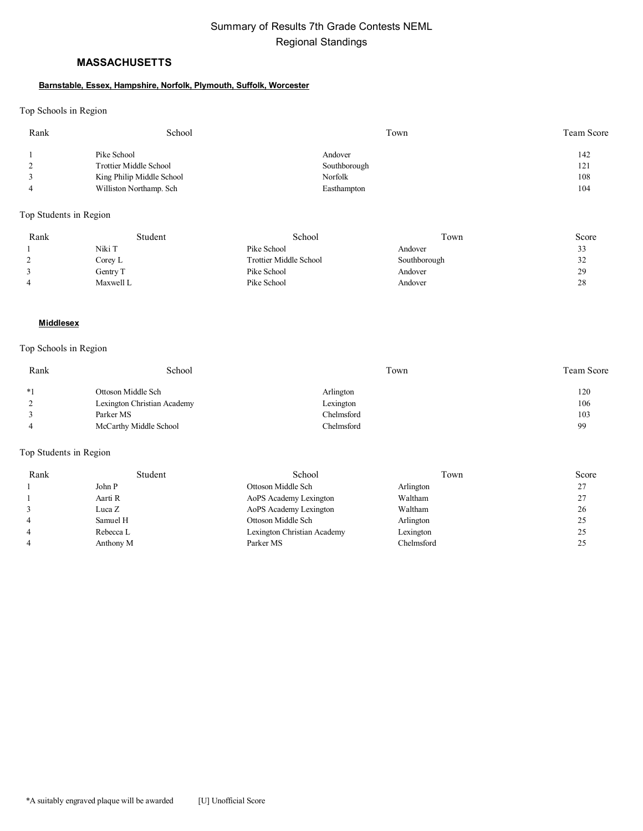# **MASSACHUSETTS**

#### **Barnstable, Essex, Hampshire, Norfolk, Plymouth, Suffolk, Worcester**

Top Schools in Region

| Rank | School                    | Town         | Team Score |
|------|---------------------------|--------------|------------|
|      | Pike School               | Andover      | 142        |
|      | Trottier Middle School    | Southborough | 121        |
|      | King Philip Middle School | Norfolk      | 108        |
|      | Williston Northamp. Sch   | Easthampton  | 104        |

Top Students in Region

| Rank | Student   | School                 | Town         | Score |
|------|-----------|------------------------|--------------|-------|
|      | Niki T    | Pike School            | Andover      | 33    |
|      | Corey L   | Trottier Middle School | Southborough | 32    |
|      | Gentry T  | Pike School            | Andover      | 29    |
| 4    | Maxwell L | Pike School            | Andover      | 28    |

### **Middlesex**

### Top Schools in Region

| Rank | School                      | Town       | <b>Team Score</b> |
|------|-----------------------------|------------|-------------------|
| $*1$ | Ottoson Middle Sch          | Arlington  | 120               |
|      | Lexington Christian Academy | Lexington  | 106               |
|      | Parker MS                   | Chelmsford | 103               |
|      | McCarthy Middle School      | Chelmsford | 99                |

| Rank | Student   | School                      | Town       | Score |
|------|-----------|-----------------------------|------------|-------|
|      | John P    | Ottoson Middle Sch          | Arlington  | 27    |
|      | Aarti R   | AoPS Academy Lexington      | Waltham    | 27    |
|      | Luca Z    | AoPS Academy Lexington      | Waltham    | 26    |
|      | Samuel H  | Ottoson Middle Sch          | Arlington  | 25    |
|      | Rebecca L | Lexington Christian Academy | Lexington  | 25    |
|      | Anthony M | Parker MS                   | Chelmsford | 25    |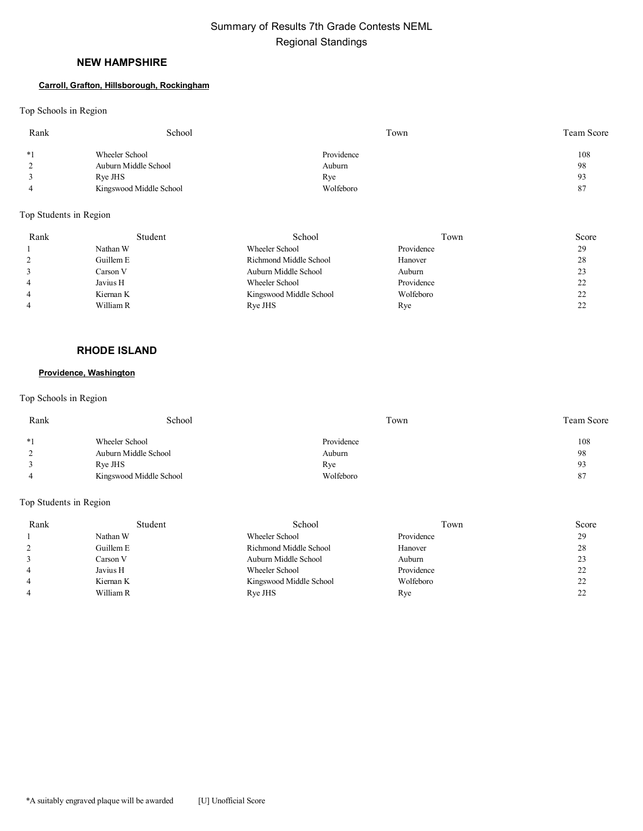## **NEW HAMPSHIRE**

#### **Carroll, Grafton, Hillsborough, Rockingham**

Top Schools in Region

| Rank | School                  | Town       | Team Score |
|------|-------------------------|------------|------------|
| $*1$ | Wheeler School          | Providence | 108        |
|      | Auburn Middle School    | Auburn     | 98         |
|      | Rye JHS                 | Rye        | 93         |
|      | Kingswood Middle School | Wolfeboro  | 87         |

### Top Students in Region

| Rank | Student   | School                  | Town       | Score |
|------|-----------|-------------------------|------------|-------|
|      | Nathan W  | Wheeler School          | Providence | 29    |
|      | Guillem E | Richmond Middle School  | Hanover    | 28    |
|      | Carson V  | Auburn Middle School    | Auburn     | 23    |
|      | Javius H  | Wheeler School          | Providence | 22    |
|      | Kiernan K | Kingswood Middle School | Wolfeboro  | 22    |
|      | William R | Rye JHS                 | Rye        | 22    |

# **RHODE ISLAND**

#### **Providence, Washington**

### Top Schools in Region

| Rank | School                  | Town       | <b>Team Score</b> |
|------|-------------------------|------------|-------------------|
| $*1$ | Wheeler School          | Providence | 108               |
|      | Auburn Middle School    | Auburn     | 98                |
|      | Rye JHS                 | Rye        | 93                |
|      | Kingswood Middle School | Wolfeboro  | 87                |

| Rank | Student   | School                  | Town       | Score |
|------|-----------|-------------------------|------------|-------|
|      | Nathan W  | Wheeler School          | Providence | 29    |
|      | Guillem E | Richmond Middle School  | Hanover    | 28    |
|      | Carson V  | Auburn Middle School    | Auburn     | 23    |
|      | Javius H  | Wheeler School          | Providence | 22    |
|      | Kiernan K | Kingswood Middle School | Wolfeboro  | 22    |
|      | William R | Rye JHS                 | Rye        | 22    |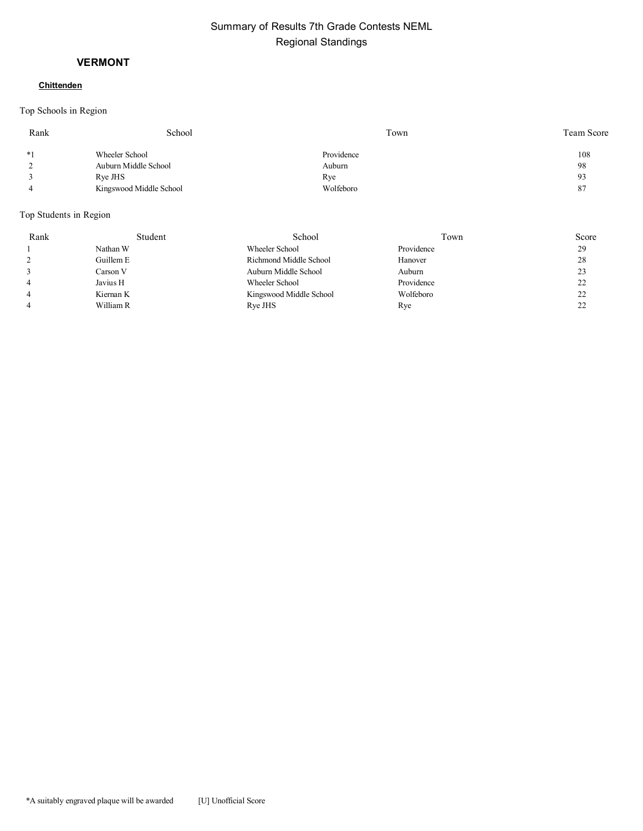# **VERMONT**

# **Chittenden**

Top Schools in Region

| Rank | School                  | Town       | Team Score |
|------|-------------------------|------------|------------|
| $*1$ | Wheeler School          | Providence | 108        |
|      | Auburn Middle School    | Auburn     | 98         |
|      | Rye JHS                 | Rye        | 93         |
|      | Kingswood Middle School | Wolfeboro  | 87         |

| Rank | Student   | School                  | Town       | Score |
|------|-----------|-------------------------|------------|-------|
|      | Nathan W  | Wheeler School          | Providence | 29    |
|      | Guillem E | Richmond Middle School  | Hanover    | 28    |
|      | Carson V  | Auburn Middle School    | Auburn     | 23    |
|      | Javius H  | Wheeler School          | Providence | 22    |
|      | Kiernan K | Kingswood Middle School | Wolfeboro  | 22    |
|      | William R | Rye JHS                 | Rye        | 22    |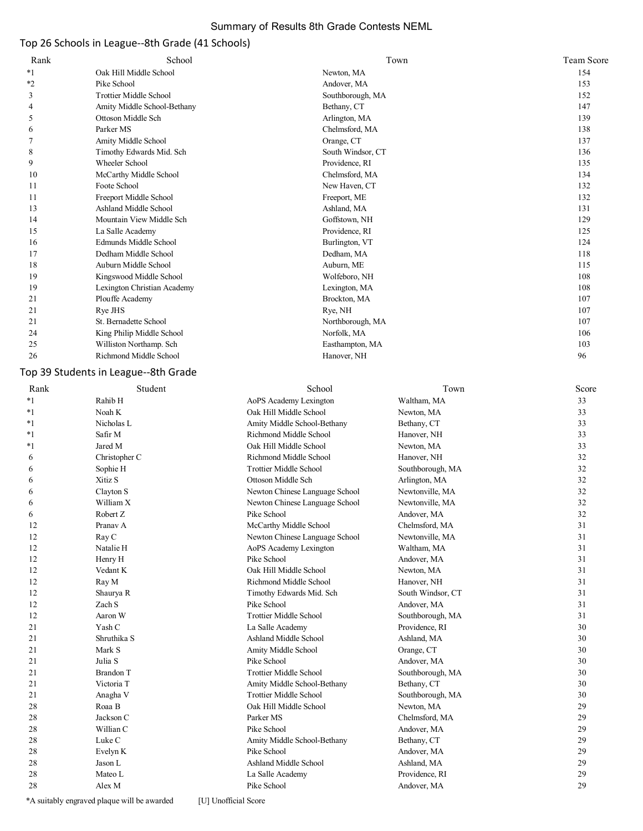# Summary of Results 8th Grade Contests NEML

# Top 26 Schools in League--8th Grade (41 Schools)

| Rank    | School                        | Town              | Team Score |
|---------|-------------------------------|-------------------|------------|
| $*1$    | Oak Hill Middle School        | Newton, MA        | 154        |
| $*_{2}$ | Pike School                   | Andover, MA       | 153        |
| 3       | <b>Trottier Middle School</b> | Southborough, MA  | 152        |
| 4       | Amity Middle School-Bethany   | Bethany, CT       | 147        |
| 5       | Ottoson Middle Sch            | Arlington, MA     | 139        |
| 6       | Parker MS                     | Chelmsford, MA    | 138        |
|         | Amity Middle School           | Orange, CT        | 137        |
| 8       | Timothy Edwards Mid. Sch      | South Windsor, CT | 136        |
| 9       | Wheeler School                | Providence, RI    | 135        |
| 10      | McCarthy Middle School        | Chelmsford, MA    | 134        |
| 11      | Foote School                  | New Haven, CT     | 132        |
| 11      | Freeport Middle School        | Freeport, ME      | 132        |
| 13      | Ashland Middle School         | Ashland, MA       | 131        |
| 14      | Mountain View Middle Sch      | Goffstown, NH     | 129        |
| 15      | La Salle Academy              | Providence, RI    | 125        |
| 16      | Edmunds Middle School         | Burlington, VT    | 124        |
| 17      | Dedham Middle School          | Dedham, MA        | 118        |
| 18      | Auburn Middle School          | Auburn, ME        | 115        |
| 19      | Kingswood Middle School       | Wolfeboro, NH     | 108        |
| 19      | Lexington Christian Academy   | Lexington, MA     | 108        |
| 21      | Plouffe Academy               | Brockton, MA      | 107        |
| 21      | Rye JHS                       | Rye, NH           | 107        |
| 21      | St. Bernadette School         | Northborough, MA  | 107        |
| 24      | King Philip Middle School     | Norfolk, MA       | 106        |
| 25      | Williston Northamp. Sch       | Easthampton, MA   | 103        |
| 26      | Richmond Middle School        | Hanover, NH       | 96         |

# Top 39 Students in League--8th Grade

| Rank    | Student          | School                         | Town              | Score |
|---------|------------------|--------------------------------|-------------------|-------|
| $*_{1}$ | Rahib H          | AoPS Academy Lexington         | Waltham, MA       | 33    |
| $*_{1}$ | Noah K           | Oak Hill Middle School         | Newton, MA        | 33    |
| $*_{1}$ | Nicholas L       | Amity Middle School-Bethany    | Bethany, CT       | 33    |
| $*1$    | Safir M          | Richmond Middle School         | Hanover, NH       | 33    |
| $^*1$   | Jared M          | Oak Hill Middle School         | Newton, MA        | 33    |
| 6       | Christopher C    | Richmond Middle School         | Hanover, NH       | 32    |
| 6       | Sophie H         | <b>Trottier Middle School</b>  | Southborough, MA  | 32    |
| 6       | Xitiz S          | Ottoson Middle Sch             | Arlington, MA     | 32    |
| 6       | Clayton S        | Newton Chinese Language School | Newtonville, MA   | 32    |
| 6       | William X        | Newton Chinese Language School | Newtonville, MA   | 32    |
| 6       | Robert Z         | Pike School                    | Andover, MA       | 32    |
| 12      | Pranav A         | McCarthy Middle School         | Chelmsford, MA    | 31    |
| 12      | Ray C            | Newton Chinese Language School | Newtonville, MA   | 31    |
| 12      | Natalie H        | AoPS Academy Lexington         | Waltham, MA       | 31    |
| 12      | Henry H          | Pike School                    | Andover, MA       | 31    |
| 12      | Vedant K         | Oak Hill Middle School         | Newton, MA        | 31    |
| 12      | Ray M            | Richmond Middle School         | Hanover, NH       | 31    |
| 12      | Shaurya R        | Timothy Edwards Mid. Sch       | South Windsor, CT | 31    |
| 12      | Zach S           | Pike School                    | Andover, MA       | 31    |
| 12      | Aaron W          | <b>Trottier Middle School</b>  | Southborough, MA  | 31    |
| 21      | Yash C           | La Salle Academy               | Providence, RI    | 30    |
| 21      | Shruthika S      | Ashland Middle School          | Ashland, MA       | 30    |
| 21      | Mark S           | Amity Middle School            | Orange, CT        | 30    |
| 21      | Julia S          | Pike School                    | Andover, MA       | 30    |
| 21      | <b>Brandon T</b> | <b>Trottier Middle School</b>  | Southborough, MA  | 30    |
| 21      | Victoria T       | Amity Middle School-Bethany    | Bethany, CT       | 30    |
| 21      | Anagha V         | <b>Trottier Middle School</b>  | Southborough, MA  | 30    |
| 28      | Roaa B           | Oak Hill Middle School         | Newton, MA        | 29    |
| 28      | Jackson C        | Parker MS                      | Chelmsford, MA    | 29    |
| 28      | Willian C        | Pike School                    | Andover, MA       | 29    |
| 28      | Luke C           | Amity Middle School-Bethany    | Bethany, CT       | 29    |
| 28      | Evelyn K         | Pike School                    | Andover, MA       | 29    |
| 28      | Jason L          | Ashland Middle School          | Ashland, MA       | 29    |
| 28      | Mateo L          | La Salle Academy               | Providence, RI    | 29    |
| 28      | Alex M           | Pike School                    | Andover, MA       | 29    |
|         |                  |                                |                   |       |

\*A suitably engraved plaque will be awarded [U] Unofficial Score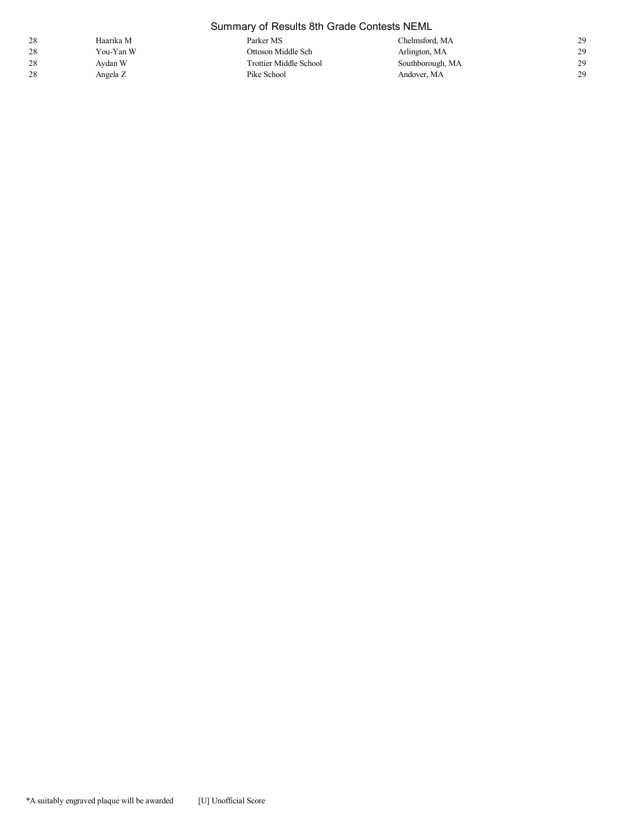|    | Summary of Results 8th Grade Contests NEML |                               |                  |    |  |  |
|----|--------------------------------------------|-------------------------------|------------------|----|--|--|
| 28 | Haarika M                                  | Parker MS                     | Chelmsford, MA   | 29 |  |  |
| 28 | You-Yan W                                  | Ottoson Middle Sch            | Arlington, MA    | 29 |  |  |
| 28 | Avdan W                                    | <b>Trottier Middle School</b> | Southborough, MA | 29 |  |  |
| 28 | Angela Z                                   | Pike School                   | Andover, MA      | 29 |  |  |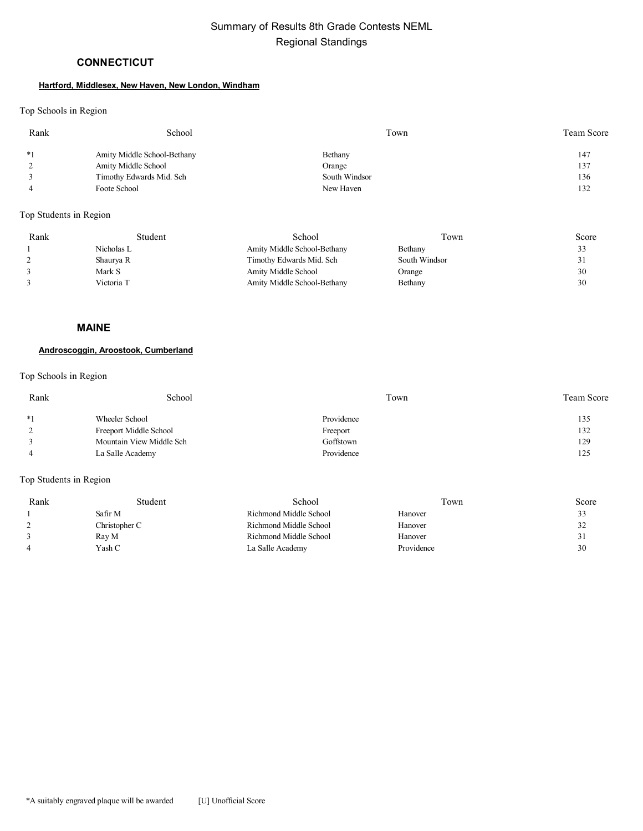# **CONNECTICUT**

#### **Hartford, Middlesex, New Haven, New London, Windham**

### Top Schools in Region

| Rank | School                      | Town          | Team Score |
|------|-----------------------------|---------------|------------|
| $*1$ | Amity Middle School-Bethany | Bethany       | 147        |
|      | Amity Middle School         | Orange        | 137        |
|      | Timothy Edwards Mid. Sch    | South Windsor | 136        |
|      | Foote School                | New Haven     | 132        |

Top Students in Region

| Rank | Student    | School                      | Town          | Score |
|------|------------|-----------------------------|---------------|-------|
|      | Nicholas L | Amity Middle School-Bethany | Bethany       | 33    |
|      | Shaurya R  | Timothy Edwards Mid. Sch    | South Windsor |       |
|      | Mark S     | Amity Middle School         | Orange        | 30    |
|      | Victoria T | Amity Middle School-Bethany | Bethany       | 30    |

#### **MAINE**

### **Androscoggin, Aroostook, Cumberland**

### Top Schools in Region

| Rank | School                   | Town       | <b>Team Score</b> |
|------|--------------------------|------------|-------------------|
| $*1$ | Wheeler School           | Providence | 135               |
|      | Freeport Middle School   | Freeport   | 132               |
|      | Mountain View Middle Sch | Goffstown  | 129               |
|      | La Salle Academy         | Providence | 125               |

| Rank | Student       | School                 | Town       | Score |
|------|---------------|------------------------|------------|-------|
|      | Safir M       | Richmond Middle School | Hanover    | 33    |
|      | Christopher C | Richmond Middle School | Hanover    | 32    |
|      | Ray M         | Richmond Middle School | Hanover    | 31    |
|      | Yash C        | La Salle Academy       | Providence | 30    |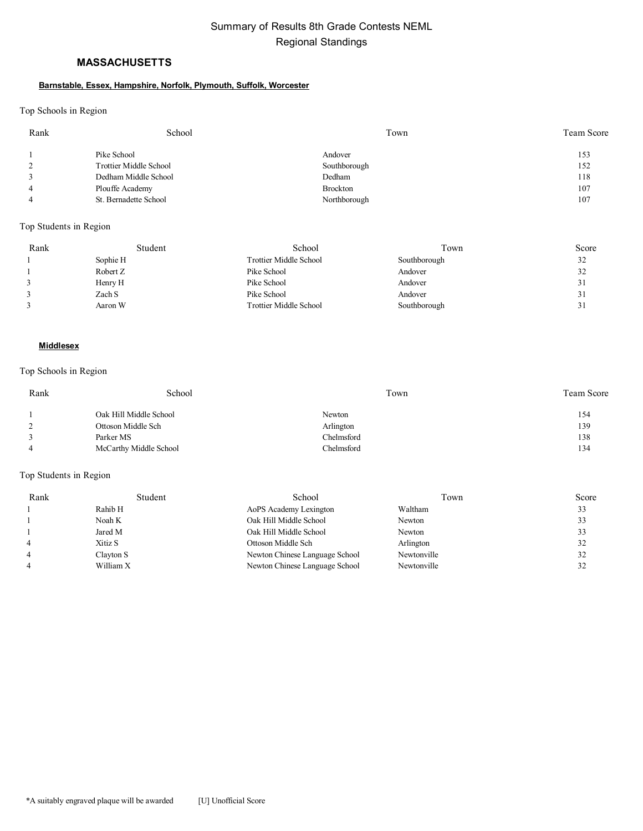# **MASSACHUSETTS**

#### **Barnstable, Essex, Hampshire, Norfolk, Plymouth, Suffolk, Worcester**

Top Schools in Region

| Rank | School                 | Town            | Team Score |
|------|------------------------|-----------------|------------|
|      | Pike School            | Andover         | 153        |
|      | Trottier Middle School | Southborough    | 152        |
|      | Dedham Middle School   | Dedham          | 118        |
|      | Plouffe Academy        | <b>Brockton</b> | 107        |
|      | St. Bernadette School  | Northborough    | 107        |

### Top Students in Region

| Rank | Student  | School                        | Town         | Score              |
|------|----------|-------------------------------|--------------|--------------------|
|      | Sophie H | <b>Trottier Middle School</b> | Southborough | 32                 |
|      | Robert Z | Pike School                   | Andover      | 32                 |
|      | Henry H  | Pike School                   | Andover      | 31                 |
|      | Zach S   | Pike School                   | Andover      | 31                 |
|      | Aaron W  | <b>Trottier Middle School</b> | Southborough | $^{\circ}$ 1<br>31 |

#### **Middlesex**

### Top Schools in Region

| Rank | School                 | Town              | Team Score |
|------|------------------------|-------------------|------------|
|      | Oak Hill Middle School | Newton            | 154        |
|      | Ottoson Middle Sch     | Arlington         | 139        |
|      | Parker MS              | Chelmsford        | 138        |
|      | McCarthy Middle School | <b>Chelmsford</b> | 134        |

| Rank | Student   | School                         | Town        | Score |
|------|-----------|--------------------------------|-------------|-------|
|      | Rahib H   | AoPS Academy Lexington         | Waltham     | 33    |
|      | Noah K    | Oak Hill Middle School         | Newton      | 33    |
|      | Jared M   | Oak Hill Middle School         | Newton      | 33    |
|      | Xitiz S   | Ottoson Middle Sch             | Arlington   | 32    |
|      | Clayton S | Newton Chinese Language School | Newtonville | 32    |
|      | William X | Newton Chinese Language School | Newtonville | 32    |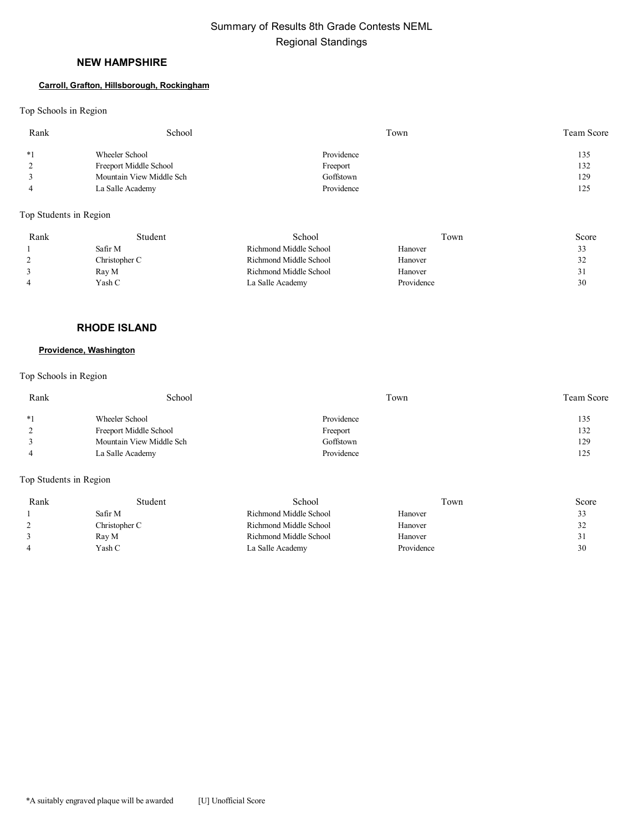# **NEW HAMPSHIRE**

#### **Carroll, Grafton, Hillsborough, Rockingham**

Top Schools in Region

| Rank | School                   | Town       | Team Score |
|------|--------------------------|------------|------------|
| $*1$ | Wheeler School           | Providence | 135        |
|      | Freeport Middle School   | Freeport   | 132        |
|      | Mountain View Middle Sch | Goffstown  | 129        |
|      | La Salle Academy         | Providence | 125        |

Top Students in Region

| Rank | Student       | School                 | Town       | Score |
|------|---------------|------------------------|------------|-------|
|      | Safir M       | Richmond Middle School | Hanover    | 33    |
|      | Christopher C | Richmond Middle School | Hanover    | 32    |
|      | Ray M         | Richmond Middle School | Hanover    |       |
|      | Yash C        | La Salle Academy       | Providence | 30    |

# **RHODE ISLAND**

# **Providence, Washington**

Top Schools in Region

| Rank | School                   | Town       | <b>Team Score</b> |
|------|--------------------------|------------|-------------------|
| $*1$ | Wheeler School           | Providence | 135               |
|      | Freeport Middle School   | Freeport   | 132               |
|      | Mountain View Middle Sch | Goffstown  | 129               |
|      | La Salle Academy         | Providence | 125               |

| Rank | Student       | School                 | Γown       | Score |
|------|---------------|------------------------|------------|-------|
|      | Safir M       | Richmond Middle School | Hanover    | 33    |
|      | Christopher C | Richmond Middle School | Hanover    | 32    |
|      | Ray M         | Richmond Middle School | Hanover    | 31    |
|      | Yash C        | La Salle Academy       | Providence | 30    |